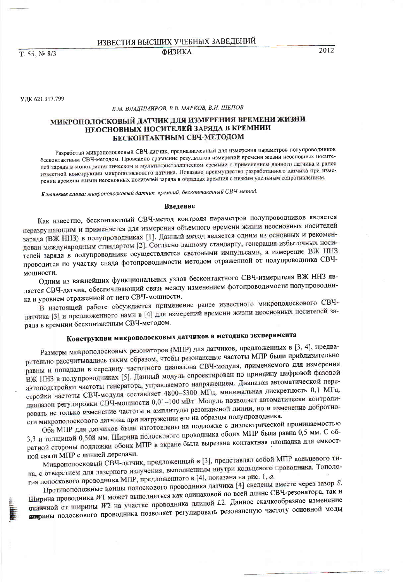ИЗВЕСТИЯ ВЫСШИХ УЧЕБНЫХ ЗАВЕДЕНИЙ **ФИЗИКА** 

T. 55, No 8/3

2012

УДК 621.317.799

В.М. ВЛАДИМИРОВ, В.В. МАРКОВ, В.Н. ШЕПОВ

## МИКРОПОЛОСКОВЫЙ ДАТЧИК ДЛЯ ИЗМЕРЕНИЯ ВРЕМЕНИ ЖИЗНИ НЕОСНОВНЫХ НОСИТЕЛЕЙ ЗАРЯДА В КРЕМНИИ БЕСКОНТАКТНЫМ СВЧ-МЕТОДОМ

Разработан микрополосковый СВЧ-датчик, предназначенный для измерения параметров полупроводников бесконтактным СВЧ-методом. Проведено сравнение результатов измерений времени жизни неосновных носителей заряда в монокристаллическом и мультикристаллическом кремнии с применением данного датчика и ранее известной конструкции микрополоскового датчика. Показано преимущество разработанного датчика при измерении времени жизни неосновных носителей заряда в образцах кремния с низким удельным сопротивлением.

Ключевые слова: микрополосковый датчик, кремний, бесконтактный СВЧ-метод.

#### Ввеление

Как известно, бесконтактный СВЧ-метод контроля параметров полупроводников является неразрушающим и применяется для измерения объемного времени жизни неосновных носителей заряда (ВЖ ННЗ) в полупроводниках [1]. Данный метод является одним из основных и рекомендован международным стандартом [2]. Согласно данному стандарту, генерация избыточных носителей заряда в полупроводнике осуществляется световыми импульсами, а измерение ВЖ ННЗ проводится по участку спада фотопроводимости методом отраженной от полупроводника СВЧмошности.

Одним из важнейших функциональных узлов бесконтактного СВЧ-измерителя ВЖ ННЗ является СВЧ-датчик, обеспечивающий связь между изменением фотопроводимости полупроводника и уровнем отраженной от него СВЧ-мощности.

В настоящей работе обсуждается применение ранее известного микрополоскового СВЧдатчика [3] и предложенного нами в [4] для измерений времени жизни неосновных носителей заряда в кремнии бесконтактным СВЧ-методом.

# Конструкции микрополосковых датчиков и методика эксперимента

Размеры микрополосковых резонаторов (МПР) для датчиков, предложенных в [3, 4], предварительно рассчитывались таким образом, чтобы резонансные частоты МПР были приблизительно равны и попадали в середину частотного диапазона СВЧ-модуля, применяемого для измерения ВЖ ННЗ в полупроводниках [5]. Данный модуль спроектирован по принципу цифровой фазовой автоподстройки частоты генератора, управляемого напряжением. Диапазон автоматической перестройки частоты СВЧ-модуля составляет 4800-5300 МГц, минимальная дискретность 0,1 МГц, диапазон регулировки СВЧ-мощности 0,01-100 мВт. Модуль позволяет автоматически контролировать не только изменение частоты и амплитуды резонансной линии, но и изменение добротности микрополоскового датчика при нагружении его на образцы полупроводника.

Оба МПР для датчиков были изготовлены на подложке с диэлектрической проницаемостью 3,3 и толщиной 0,508 мм. Ширина полоскового проводника обоих МПР была равна 0,5 мм. С обратной стороны подложки обоих МПР в экране была вырезана контактная площадка для емкостной связи МПР с линией передачи.

Микрополосковый СВЧ-датчик, предложенный в [3], представлял собой МПР кольцевого типа, с отверстием для лазерного излучения, выполненным внутри кольцевого проводника. Топология полоскового проводника МПР, предложенного в [4], показана на рис. 1, а.

Противоположные концы полоскового проводника датчика [4] сведены вместе через зазор S. Ширина проводника W1 может выполняться как одинаковой по всей длине СВЧ-резонатора, так и отличной от ширины W2 на участке проводника длиной L2. Данное скачкообразное изменение вирины полоскового проводника позволяет регулировать резонансную частоту основной моды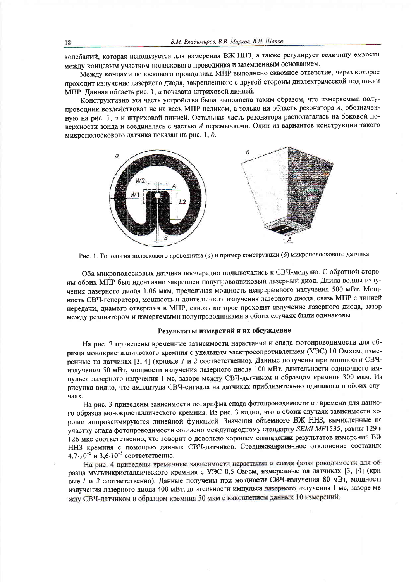колебаний, которая используется для измерения ВЖ ННЗ, а также регулирует величину емкости между концевым участком полоскового проводника и заземленным основанием.

Между концами полоскового проводника МПР выполнено сквозное отверстие, через которое проходит излучение лазерного диода, закрепленного с другой стороны диэлектрической подложки МПР. Данная область рис. 1, а показана штриховой линией.

Конструктивно эта часть устройства была выполнена таким образом, что измеряемый полупроводник воздействовал не на весь МПР целиком, а только на область резонатора А, обозначенную на рис. 1, а и штриховой линией. Остальная часть резонатора располагалась на боковой поверхности зонда и соединялась с частью А перемычками. Один из вариантов конструкции такого микрополоскового датчика показан на рис. 1, б.



Рис. 1. Топология полоскового проводника (а) и пример конструкции (б) микрополоскового датчика

Оба микрополосковых датчика поочередно подключались к СВЧ-модулю. С обратной стороны обоих МПР был идентично закреплен полупроводниковый лазерный диод. Длина волны излучения лазерного диода 1,06 мкм, предельная мощность непрерывного излучения 500 мВт. Мощность СВЧ-генератора, мощность и длительность излучения лазерного диода, связь МПР с линией передачи, диаметр отверстия в МПР, сквозь которое проходит излучение лазерного диода, зазор между резонатором и измеряемыми полупроводниками в обоих случаях были одинаковы.

## Результаты измерений и их обсуждение

На рис. 2 приведены временные зависимости нарастания и спада фотопроводимости для образца монокристаллического кремния с удельным электросопротивлением (УЭС) 10 Омхсм, измеренные на датчиках [3, 4] (кривые 1 и 2 соответственно). Данные получены при мощности СВЧизлучения 50 мВт, мощности излучения лазерного диода 100 мВт, длительности одиночного импульса лазерного излучения 1 мс, зазоре между СВЧ-датчиком и образцом кремния 300 мкм. Из рисунка видно, что амплитуда СВЧ-сигнала на датчиках приблизительно одинакова в обоих случаях.

На рис. 3 приведены зависимости логарифма спада фотопроводимости от времени для данного образца монокристаллического кремния. Из рис. 3 видно, что в обоих случаях зависимости хорошо аппроксимируются линейной функцией. Значения объемного ВЖ ННЗ, вычисленные по участку спада фотопроводимости согласно международному стандарту SEMI MF1535, равны 129 г 126 мкс соответственно, что говорит о довольно хорошем совпадении результатов измерений ВЖ ННЗ кремния с помощью данных СВЧ-датчиков. Среднеквадратичное отклонение составило 4,7.10<sup>-5</sup> и 3,6.10<sup>-5</sup> соответственно.

На рис. 4 приведены временные зависимости нарастания и спада фотопроводимости для образца мультикристаллического кремния с УЭС 0,5 Ом-см, измеренные на датчиках [3, [4] (кривые 1 и 2 соответственно). Данные получены при мощности СВЧ-излучения 80 мВт, мощности излучения лазерного диода 400 мВт, длительности импульса лазерного излучения 1 мс, зазоре ме жду СВЧ-датчиком и образцом кремния 50 мкм с накоплением данных 10 измерений.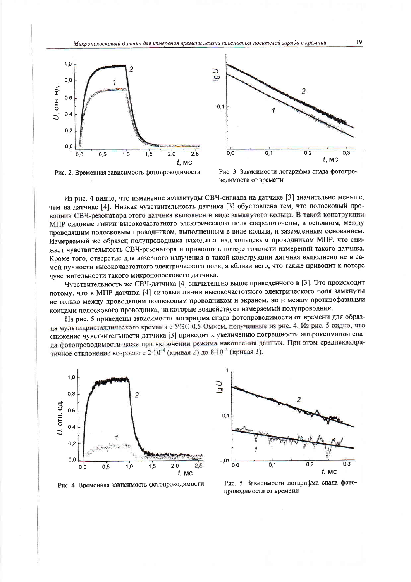



Рис. 2. Временная зависимость фотопроводимости

Рис. 3. Зависимости логарифма спада фотопроводимости от времени

Из рис. 4 видно, что изменение амплитуды СВЧ-сигнала на датчике [3] значительно меньше, чем на датчике [4]. Низкая чувствительность датчика [3] обусловлена тем, что полосковый проводник СВЧ-резонатора этого датчика выполнен в виде замкнутого кольца. В такой конструкции МПР силовые линии высокочастотного электрического поля сосредоточены, в основном, между проводящим полосковым проводником, выполненным в виде кольца, и заземленным основанием. Измеряемый же образец полупроводника находится над кольцевым проводником МПР, что снижает чувствительность СВЧ-резонатора и приводит к потере точности измерений такого датчика. Кроме того, отверстие для лазерного излучения в такой конструкции датчика выполнено не в самой пучности высокочастотного электрического поля, а вблизи него, что также приводит к потере чувствительности такого микрополоскового датчика.

Чувствительность же СВЧ-датчика [4] значительно выше приведенного в [3]. Это происходит потому, что в МПР датчика [4] силовые линии высокочастотного электрического поля замкнуты не только между проводящим полосковым проводником и экраном, но и между противофазными концами полоскового проводника, на которые воздействует измеряемый полупроводник.

На рис. 5 приведены зависимости логарифма спада фотопроводимости от времени для образца мультикристаллического кремния с УЭС 0,5 Омхсм, полученные из рис. 4. Из рис. 5 видно, что снижение чувствительности датчика [3] приводит к увеличению погрешности аппроксимации спада фотопроводимости даже при включении режима накопления данных. При этом среднеквадратичное отклонение возросло с  $2.10^{-4}$  (кривая 2) до  $8.10^{-4}$  (кривая 1).



Рис. 4. Временная зависимость фотопроводимости



Рис. 5. Зависимости логарифма спада фотопроводимости от времени

19